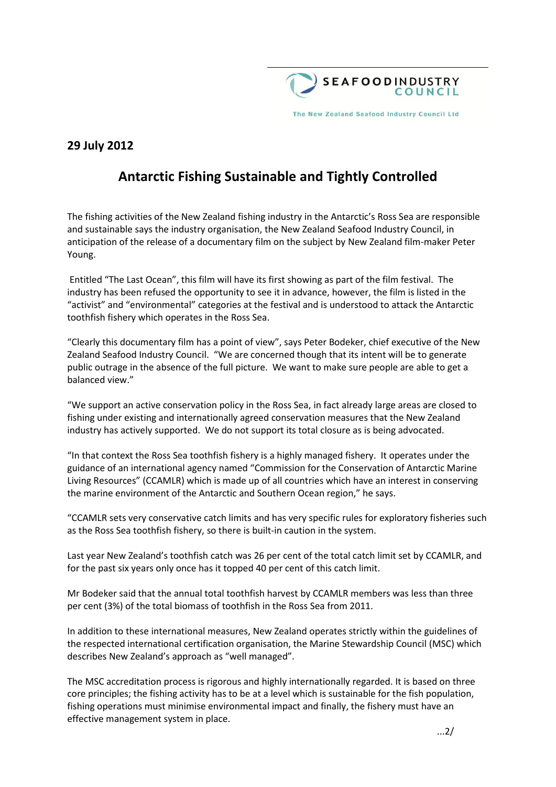

The New Zealand Seafood Industry Council Ltd

## **29 July 2012**

# **Antarctic Fishing Sustainable and Tightly Controlled**

The fishing activities of the New Zealand fishing industry in the Antarctic's Ross Sea are responsible and sustainable says the industry organisation, the New Zealand Seafood Industry Council, in anticipation of the release of a documentary film on the subject by New Zealand film-maker Peter Young.

Entitled "The Last Ocean", this film will have its first showing as part of the film festival. The industry has been refused the opportunity to see it in advance, however, the film is listed in the "activist" and "environmental" categories at the festival and is understood to attack the Antarctic toothfish fishery which operates in the Ross Sea.

"Clearly this documentary film has a point of view", says Peter Bodeker, chief executive of the New Zealand Seafood Industry Council. "We are concerned though that its intent will be to generate public outrage in the absence of the full picture. We want to make sure people are able to get a balanced view."

"We support an active conservation policy in the Ross Sea, in fact already large areas are closed to fishing under existing and internationally agreed conservation measures that the New Zealand industry has actively supported. We do not support its total closure as is being advocated.

"In that context the Ross Sea toothfish fishery is a highly managed fishery. It operates under the guidance of an international agency named "Commission for the Conservation of Antarctic Marine Living Resources" (CCAMLR) which is made up of all countries which have an interest in conserving the marine environment of the Antarctic and Southern Ocean region," he says.

"CCAMLR sets very conservative catch limits and has very specific rules for exploratory fisheries such as the Ross Sea toothfish fishery, so there is built-in caution in the system.

Last year New Zealand's toothfish catch was 26 per cent of the total catch limit set by CCAMLR, and for the past six years only once has it topped 40 per cent of this catch limit.

Mr Bodeker said that the annual total toothfish harvest by CCAMLR members was less than three per cent (3%) of the total biomass of toothfish in the Ross Sea from 2011.

In addition to these international measures, New Zealand operates strictly within the guidelines of the respected international certification organisation, the Marine Stewardship Council (MSC) which describes New Zealand's approach as "well managed".

The MSC accreditation process is rigorous and highly internationally regarded. It is based on three core principles; the fishing activity has to be at a level which is sustainable for the fish population, fishing operations must minimise environmental impact and finally, the fishery must have an effective management system in place.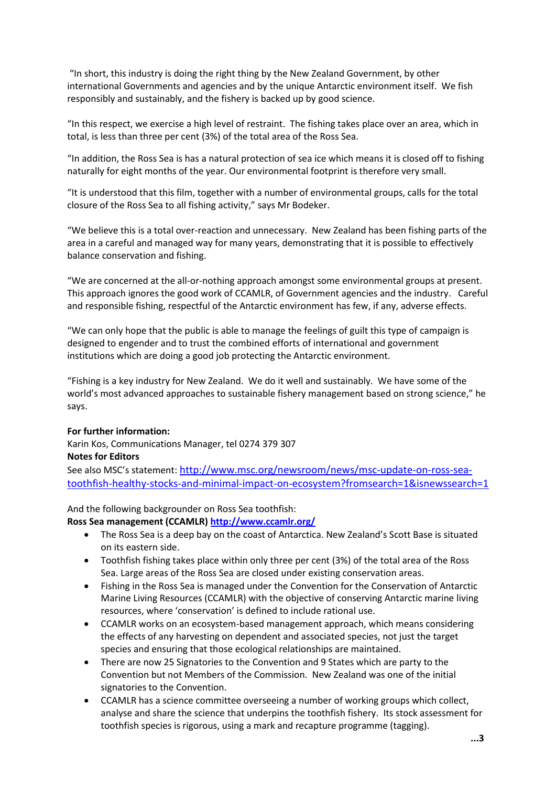"In short, this industry is doing the right thing by the New Zealand Government, by other international Governments and agencies and by the unique Antarctic environment itself. We fish responsibly and sustainably, and the fishery is backed up by good science.

"In this respect, we exercise a high level of restraint. The fishing takes place over an area, which in total, is less than three per cent (3%) of the total area of the Ross Sea.

"In addition, the Ross Sea is has a natural protection of sea ice which means it is closed off to fishing naturally for eight months of the year. Our environmental footprint is therefore very small.

"It is understood that this film, together with a number of environmental groups, calls for the total closure of the Ross Sea to all fishing activity," says Mr Bodeker.

"We believe this is a total over-reaction and unnecessary. New Zealand has been fishing parts of the area in a careful and managed way for many years, demonstrating that it is possible to effectively balance conservation and fishing.

"We are concerned at the all-or-nothing approach amongst some environmental groups at present. This approach ignores the good work of CCAMLR, of Government agencies and the industry. Careful and responsible fishing, respectful of the Antarctic environment has few, if any, adverse effects.

"We can only hope that the public is able to manage the feelings of guilt this type of campaign is designed to engender and to trust the combined efforts of international and government institutions which are doing a good job protecting the Antarctic environment.

"Fishing is a key industry for New Zealand. We do it well and sustainably. We have some of the world's most advanced approaches to sustainable fishery management based on strong science," he says.

#### **For further information:**

Karin Kos, Communications Manager, tel 0274 379 307 **Notes for Editors** 

See also MSC's statement: [http://www.msc.org/newsroom/news/msc-update-on-ross-sea](http://www.msc.org/newsroom/news/msc-update-on-ross-sea-toothfish-healthy-stocks-and-minimal-impact-on-ecosystem?fromsearch=1&isnewssearch=1)[toothfish-healthy-stocks-and-minimal-impact-on-ecosystem?fromsearch=1&isnewssearch=1](http://www.msc.org/newsroom/news/msc-update-on-ross-sea-toothfish-healthy-stocks-and-minimal-impact-on-ecosystem?fromsearch=1&isnewssearch=1)

#### And the following backgrounder on Ross Sea toothfish:

**Ross Sea management (CCAMLR)<http://www.ccamlr.org/>**

- The Ross Sea is a deep bay on the coast of Antarctica. New Zealand's Scott Base is situated on its eastern side.
- Toothfish fishing takes place within only three per cent (3%) of the total area of the Ross Sea. Large areas of the Ross Sea are closed under existing conservation areas.
- Fishing in the Ross Sea is managed under the Convention for the Conservation of Antarctic Marine Living Resources (CCAMLR) with the objective of conserving Antarctic marine living resources, where 'conservation' is defined to include rational use.
- CCAMLR works on an ecosystem-based management approach, which means considering the effects of any harvesting on dependent and associated species, not just the target species and ensuring that those ecological relationships are maintained.
- There are now 25 Signatories to the Convention and 9 States which are party to the Convention but not Members of the Commission. New Zealand was one of the initial signatories to the Convention.
- CCAMLR has a science committee overseeing a number of working groups which collect, analyse and share the science that underpins the toothfish fishery. Its stock assessment for toothfish species is rigorous, using a mark and recapture programme (tagging).